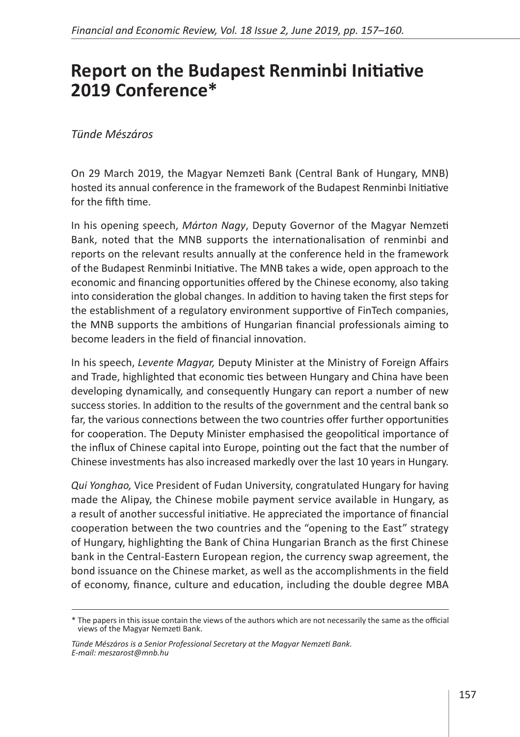## **Report on the Budapest Renminbi Initiative 2019 Conference\***

## *Tünde Mészáros*

On 29 March 2019, the Magyar Nemzeti Bank (Central Bank of Hungary, MNB) hosted its annual conference in the framework of the Budapest Renminbi Initiative for the fifth time.

In his opening speech, *Márton Nagy*, Deputy Governor of the Magyar Nemzeti Bank, noted that the MNB supports the internationalisation of renminbi and reports on the relevant results annually at the conference held in the framework of the Budapest Renminbi Initiative. The MNB takes a wide, open approach to the economic and financing opportunities offered by the Chinese economy, also taking into consideration the global changes. In addition to having taken the first steps for the establishment of a regulatory environment supportive of FinTech companies, the MNB supports the ambitions of Hungarian financial professionals aiming to become leaders in the field of financial innovation.

In his speech, *Levente Magyar,* Deputy Minister at the Ministry of Foreign Affairs and Trade, highlighted that economic ties between Hungary and China have been developing dynamically, and consequently Hungary can report a number of new success stories. In addition to the results of the government and the central bank so far, the various connections between the two countries offer further opportunities for cooperation. The Deputy Minister emphasised the geopolitical importance of the influx of Chinese capital into Europe, pointing out the fact that the number of Chinese investments has also increased markedly over the last 10 years in Hungary.

*Qui Yonghao,* Vice President of Fudan University, congratulated Hungary for having made the Alipay, the Chinese mobile payment service available in Hungary, as a result of another successful initiative. He appreciated the importance of financial cooperation between the two countries and the "opening to the East" strategy of Hungary, highlighting the Bank of China Hungarian Branch as the first Chinese bank in the Central-Eastern European region, the currency swap agreement, the bond issuance on the Chinese market, as well as the accomplishments in the field of economy, finance, culture and education, including the double degree MBA

<sup>\*</sup> The papers in this issue contain the views of the authors which are not necessarily the same as the official views of the Magyar Nemzeti Bank.

*Tünde Mészáros is a Senior Professional Secretary at the Magyar Nemzeti Bank. E-mail: [meszarost@mnb.hu](mailto:meszarost%40mnb.hu?subject=)*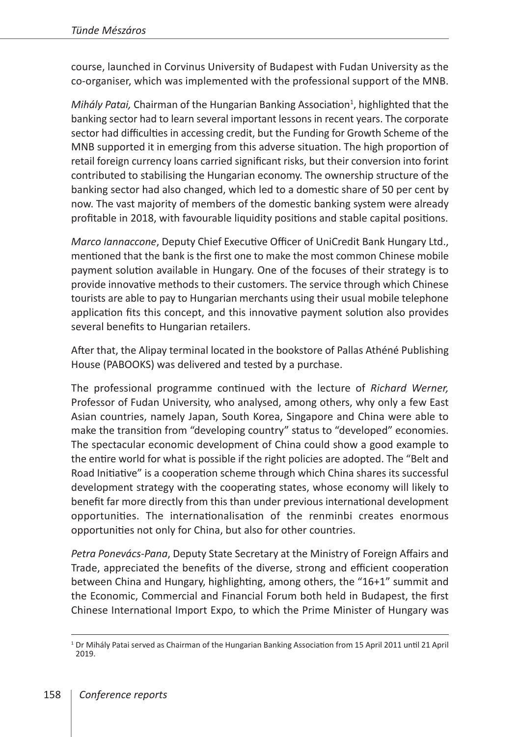course, launched in Corvinus University of Budapest with Fudan University as the co-organiser, which was implemented with the professional support of the MNB.

Mihály Patai, Chairman of the Hungarian Banking Association<sup>1</sup>, highlighted that the banking sector had to learn several important lessons in recent years. The corporate sector had difficulties in accessing credit, but the Funding for Growth Scheme of the MNB supported it in emerging from this adverse situation. The high proportion of retail foreign currency loans carried significant risks, but their conversion into forint contributed to stabilising the Hungarian economy. The ownership structure of the banking sector had also changed, which led to a domestic share of 50 per cent by now. The vast majority of members of the domestic banking system were already profitable in 2018, with favourable liquidity positions and stable capital positions.

*Marco Iannaccone*, Deputy Chief Executive Officer of UniCredit Bank Hungary Ltd., mentioned that the bank is the first one to make the most common Chinese mobile payment solution available in Hungary. One of the focuses of their strategy is to provide innovative methods to their customers. The service through which Chinese tourists are able to pay to Hungarian merchants using their usual mobile telephone application fits this concept, and this innovative payment solution also provides several benefits to Hungarian retailers.

After that, the Alipay terminal located in the bookstore of Pallas Athéné Publishing House (PABOOKS) was delivered and tested by a purchase.

The professional programme continued with the lecture of *Richard Werner,*  Professor of Fudan University, who analysed, among others, why only a few East Asian countries, namely Japan, South Korea, Singapore and China were able to make the transition from "developing country" status to "developed" economies. The spectacular economic development of China could show a good example to the entire world for what is possible if the right policies are adopted. The "Belt and Road Initiative" is a cooperation scheme through which China shares its successful development strategy with the cooperating states, whose economy will likely to benefit far more directly from this than under previous international development opportunities. The internationalisation of the renminbi creates enormous opportunities not only for China, but also for other countries.

*Petra Ponevács-Pana*, Deputy State Secretary at the Ministry of Foreign Affairs and Trade, appreciated the benefits of the diverse, strong and efficient cooperation between China and Hungary, highlighting, among others, the "16+1" summit and the Economic, Commercial and Financial Forum both held in Budapest, the first Chinese International Import Expo, to which the Prime Minister of Hungary was

 $1$  Dr Mihály Patai served as Chairman of the Hungarian Banking Association from 15 April 2011 until 21 April 2019.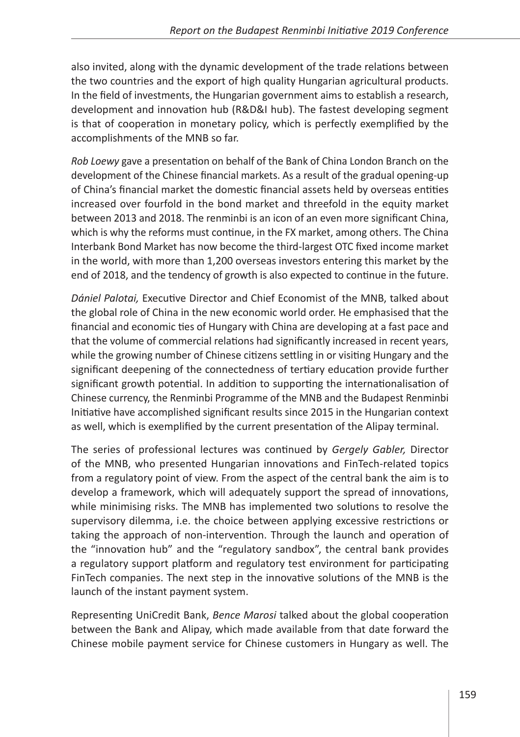also invited, along with the dynamic development of the trade relations between the two countries and the export of high quality Hungarian agricultural products. In the field of investments, the Hungarian government aims to establish a research, development and innovation hub (R&D&I hub). The fastest developing segment is that of cooperation in monetary policy, which is perfectly exemplified by the accomplishments of the MNB so far.

*Rob Loewy* gave a presentation on behalf of the Bank of China London Branch on the development of the Chinese financial markets. As a result of the gradual opening-up of China's financial market the domestic financial assets held by overseas entities increased over fourfold in the bond market and threefold in the equity market between 2013 and 2018. The renminbi is an icon of an even more significant China, which is why the reforms must continue, in the FX market, among others. The China Interbank Bond Market has now become the third-largest OTC fixed income market in the world, with more than 1,200 overseas investors entering this market by the end of 2018, and the tendency of growth is also expected to continue in the future.

*Dániel Palotai,* Executive Director and Chief Economist of the MNB, talked about the global role of China in the new economic world order. He emphasised that the financial and economic ties of Hungary with China are developing at a fast pace and that the volume of commercial relations had significantly increased in recent years, while the growing number of Chinese citizens settling in or visiting Hungary and the significant deepening of the connectedness of tertiary education provide further significant growth potential. In addition to supporting the internationalisation of Chinese currency, the Renminbi Programme of the MNB and the Budapest Renminbi Initiative have accomplished significant results since 2015 in the Hungarian context as well, which is exemplified by the current presentation of the Alipay terminal.

The series of professional lectures was continued by *Gergely Gabler,* Director of the MNB, who presented Hungarian innovations and FinTech-related topics from a regulatory point of view. From the aspect of the central bank the aim is to develop a framework, which will adequately support the spread of innovations, while minimising risks. The MNB has implemented two solutions to resolve the supervisory dilemma, i.e. the choice between applying excessive restrictions or taking the approach of non-intervention. Through the launch and operation of the "innovation hub" and the "regulatory sandbox", the central bank provides a regulatory support platform and regulatory test environment for participating FinTech companies. The next step in the innovative solutions of the MNB is the launch of the instant payment system.

Representing UniCredit Bank, *Bence Marosi* talked about the global cooperation between the Bank and Alipay, which made available from that date forward the Chinese mobile payment service for Chinese customers in Hungary as well. The